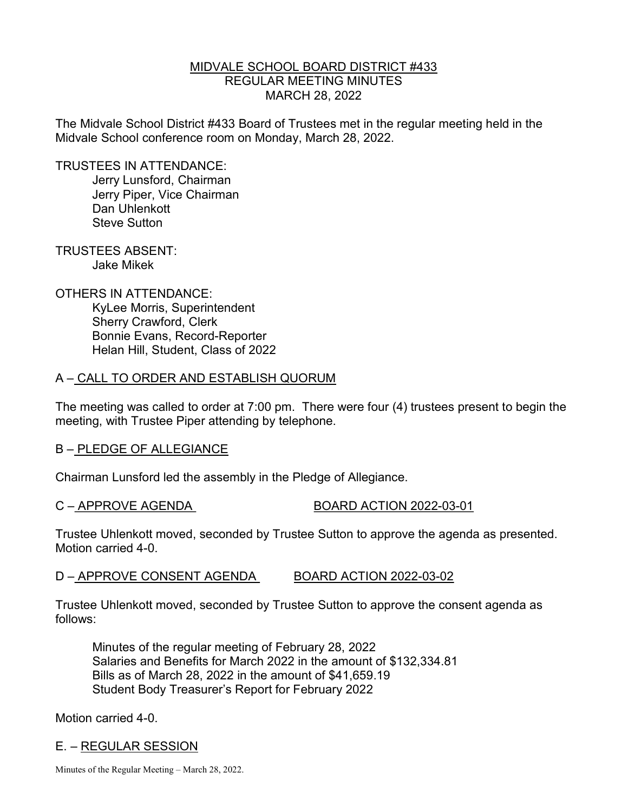## MIDVALE SCHOOL BOARD DISTRICT #433 REGULAR MEETING MINUTES MARCH 28, 2022

The Midvale School District #433 Board of Trustees met in the regular meeting held in the Midvale School conference room on Monday, March 28, 2022.

TRUSTEES IN ATTENDANCE:

 Jerry Lunsford, Chairman Jerry Piper, Vice Chairman Dan Uhlenkott Steve Sutton

TRUSTEES ABSENT: Jake Mikek

OTHERS IN ATTENDANCE: KyLee Morris, Superintendent Sherry Crawford, Clerk Bonnie Evans, Record-Reporter Helan Hill, Student, Class of 2022

## A – CALL TO ORDER AND ESTABLISH QUORUM

The meeting was called to order at 7:00 pm. There were four (4) trustees present to begin the meeting, with Trustee Piper attending by telephone.

## B – PLEDGE OF ALLEGIANCE

Chairman Lunsford led the assembly in the Pledge of Allegiance.

C – APPROVE AGENDA BOARD ACTION 2022-03-01

Trustee Uhlenkott moved, seconded by Trustee Sutton to approve the agenda as presented. Motion carried 4-0.

## D – APPROVE CONSENT AGENDA BOARD ACTION 2022-03-02

Trustee Uhlenkott moved, seconded by Trustee Sutton to approve the consent agenda as follows:

 Minutes of the regular meeting of February 28, 2022 Salaries and Benefits for March 2022 in the amount of \$132,334.81 Bills as of March 28, 2022 in the amount of \$41,659.19 Student Body Treasurer's Report for February 2022

Motion carried 4-0.

# E. – REGULAR SESSION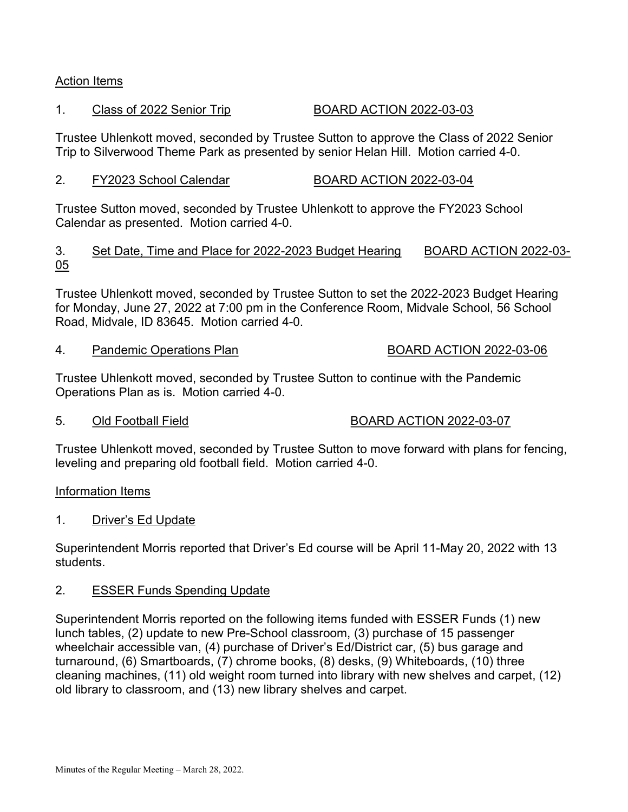### Action Items

### 1. Class of 2022 Senior Trip BOARD ACTION 2022-03-03

Trustee Uhlenkott moved, seconded by Trustee Sutton to approve the Class of 2022 Senior Trip to Silverwood Theme Park as presented by senior Helan Hill. Motion carried 4-0.

### 2. FY2023 School Calendar BOARD ACTION 2022-03-04

Trustee Sutton moved, seconded by Trustee Uhlenkott to approve the FY2023 School Calendar as presented. Motion carried 4-0.

### 3. Set Date, Time and Place for 2022-2023 Budget Hearing BOARD ACTION 2022-03- 05

Trustee Uhlenkott moved, seconded by Trustee Sutton to set the 2022-2023 Budget Hearing for Monday, June 27, 2022 at 7:00 pm in the Conference Room, Midvale School, 56 School Road, Midvale, ID 83645. Motion carried 4-0.

4. Pandemic Operations Plan BOARD ACTION 2022-03-06

Trustee Uhlenkott moved, seconded by Trustee Sutton to continue with the Pandemic Operations Plan as is. Motion carried 4-0.

### 5. Old Football Field BOARD ACTION 2022-03-07

Trustee Uhlenkott moved, seconded by Trustee Sutton to move forward with plans for fencing, leveling and preparing old football field. Motion carried 4-0.

### Information Items

### 1. Driver's Ed Update

Superintendent Morris reported that Driver's Ed course will be April 11-May 20, 2022 with 13 students.

### 2. ESSER Funds Spending Update

Superintendent Morris reported on the following items funded with ESSER Funds (1) new lunch tables, (2) update to new Pre-School classroom, (3) purchase of 15 passenger wheelchair accessible van, (4) purchase of Driver's Ed/District car, (5) bus garage and turnaround, (6) Smartboards, (7) chrome books, (8) desks, (9) Whiteboards, (10) three cleaning machines, (11) old weight room turned into library with new shelves and carpet, (12) old library to classroom, and (13) new library shelves and carpet.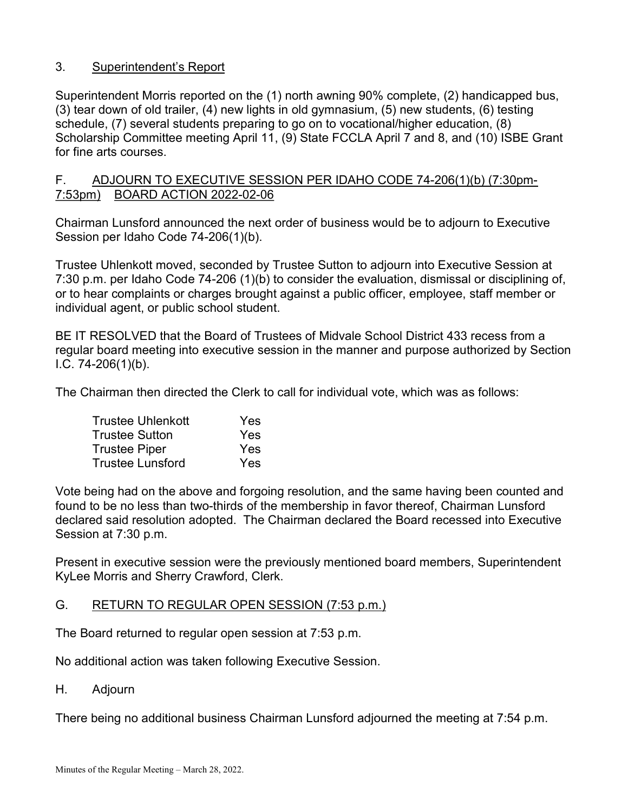# 3. Superintendent's Report

Superintendent Morris reported on the (1) north awning 90% complete, (2) handicapped bus, (3) tear down of old trailer, (4) new lights in old gymnasium, (5) new students, (6) testing schedule, (7) several students preparing to go on to vocational/higher education, (8) Scholarship Committee meeting April 11, (9) State FCCLA April 7 and 8, and (10) ISBE Grant for fine arts courses.

## F. ADJOURN TO EXECUTIVE SESSION PER IDAHO CODE 74-206(1)(b) (7:30pm-7:53pm) BOARD ACTION 2022-02-06

Chairman Lunsford announced the next order of business would be to adjourn to Executive Session per Idaho Code 74-206(1)(b).

Trustee Uhlenkott moved, seconded by Trustee Sutton to adjourn into Executive Session at 7:30 p.m. per Idaho Code 74-206 (1)(b) to consider the evaluation, dismissal or disciplining of, or to hear complaints or charges brought against a public officer, employee, staff member or individual agent, or public school student.

BE IT RESOLVED that the Board of Trustees of Midvale School District 433 recess from a regular board meeting into executive session in the manner and purpose authorized by Section I.C. 74-206(1)(b).

The Chairman then directed the Clerk to call for individual vote, which was as follows:

| <b>Trustee Uhlenkott</b> | Yes |
|--------------------------|-----|
| <b>Trustee Sutton</b>    | Yes |
| <b>Trustee Piper</b>     | Yes |
| <b>Trustee Lunsford</b>  | Yes |

Vote being had on the above and forgoing resolution, and the same having been counted and found to be no less than two-thirds of the membership in favor thereof, Chairman Lunsford declared said resolution adopted. The Chairman declared the Board recessed into Executive Session at 7:30 p.m.

Present in executive session were the previously mentioned board members, Superintendent KyLee Morris and Sherry Crawford, Clerk.

## G. RETURN TO REGULAR OPEN SESSION (7:53 p.m.)

The Board returned to regular open session at 7:53 p.m.

No additional action was taken following Executive Session.

H. Adjourn

There being no additional business Chairman Lunsford adjourned the meeting at 7:54 p.m.